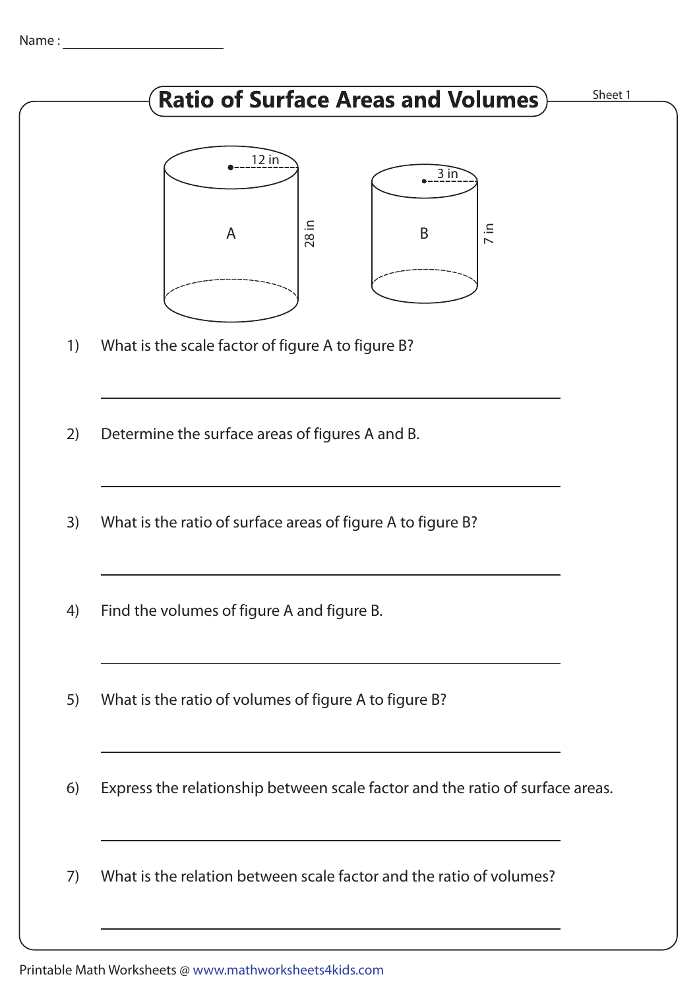